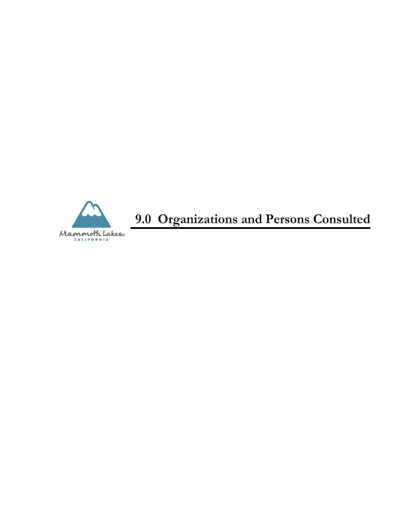

9.0 Organizations and Persons Consulted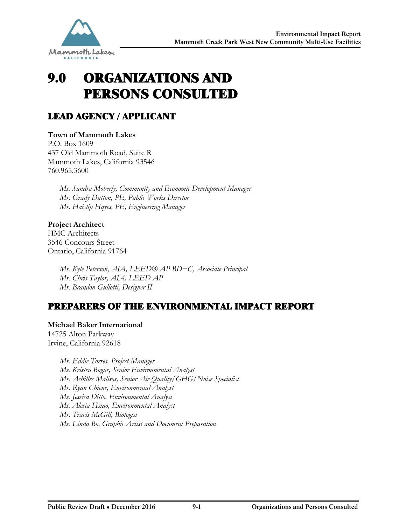

# 9.0 ORGANIZATIONS AND PERSONS CONSULTED

# LEAD AGENCY / APPLICANT

## **Town of Mammoth Lakes**

P.O. Box 1609 437 Old Mammoth Road, Suite R Mammoth Lakes, California 93546 760.965.3600

> *Ms. Sandra Moberly, Community and Economic Development Manager Mr. Grady Dutton, PE, Public Works Director Mr. Haislip Hayes, PE, Engineering Manager*

## **Project Architect**

HMC Architects 3546 Concours Street Ontario, California 91764

> *Mr. Kyle Peterson, AIA, LEED® AP BD+C, Associate Principal Mr. Chris Taylor, AIA, LEED AP Mr. Brandon Gullotti, Designer II*

## PREPARERS OF THE ENVIRONMENTAL IMPACT REPORT

## **Michael Baker International**

14725 Alton Parkway Irvine, California 92618

> *Mr. Eddie Torres, Project Manager Ms. Kristen Bogue, Senior Environmental Analyst Mr. Achilles Malisos, Senior Air Quality/GHG/Noise Specialist Mr. Ryan Chiene, Environmental Analyst Ms. Jessica Ditto, Environmental Analyst Ms. Alesia Hsiao, Environmental Analyst Mr. Travis McGill, Biologist Ms. Linda Bo, Graphic Artist and Document Preparation*